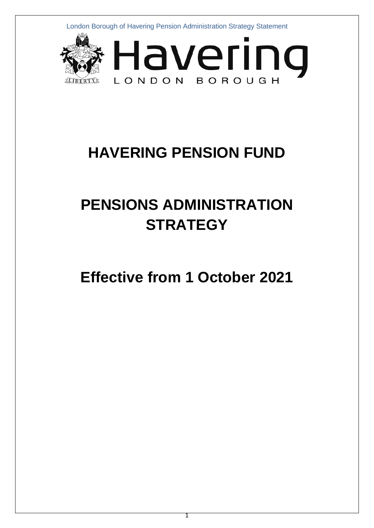London Borough of Havering Pension Administration Strategy Statement



# **HAVERING PENSION FUND**

# **PENSIONS ADMINISTRATION STRATEGY**

# **Effective from 1 October 2021**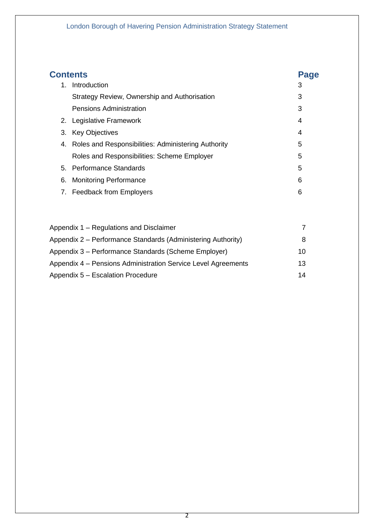| <b>Contents</b> |                                                              | Page |
|-----------------|--------------------------------------------------------------|------|
| 1.              | Introduction                                                 | 3    |
|                 | Strategy Review, Ownership and Authorisation                 | 3    |
|                 | <b>Pensions Administration</b>                               | 3    |
| 2.              | Legislative Framework                                        | 4    |
| 3.              | <b>Key Objectives</b>                                        | 4    |
| 4.              | Roles and Responsibilities: Administering Authority          | 5    |
|                 | Roles and Responsibilities: Scheme Employer                  | 5    |
| 5.              | <b>Performance Standards</b>                                 | 5    |
| 6.              | <b>Monitoring Performance</b>                                | 6    |
|                 | 7. Feedback from Employers                                   | 6    |
|                 |                                                              |      |
|                 | Appendix 1 - Regulations and Disclaimer                      | 7    |
|                 | Appendix 2 – Performance Standards (Administering Authority) | 8    |

| Appendix 3 – Performance Standards (Scheme Employer)          | 10. |
|---------------------------------------------------------------|-----|
| Appendix 4 – Pensions Administration Service Level Agreements | 13. |
| Appendix 5 - Escalation Procedure                             | 14  |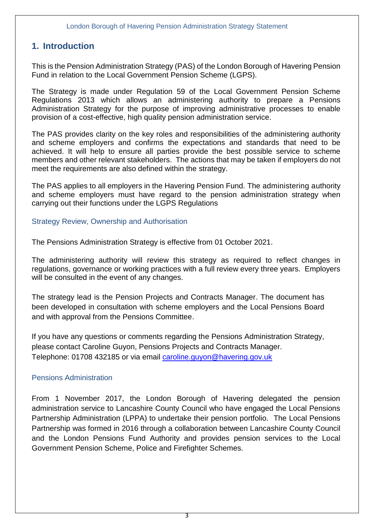## **1. Introduction**

This is the Pension Administration Strategy (PAS) of the London Borough of Havering Pension Fund in relation to the Local Government Pension Scheme (LGPS).

The Strategy is made under Regulation 59 of the Local Government Pension Scheme Regulations 2013 which allows an administering authority to prepare a Pensions Administration Strategy for the purpose of improving administrative processes to enable provision of a cost-effective, high quality pension administration service.

The PAS provides clarity on the key roles and responsibilities of the administering authority and scheme employers and confirms the expectations and standards that need to be achieved. It will help to ensure all parties provide the best possible service to scheme members and other relevant stakeholders. The actions that may be taken if employers do not meet the requirements are also defined within the strategy.

The PAS applies to all employers in the Havering Pension Fund. The administering authority and scheme employers must have regard to the pension administration strategy when carrying out their functions under the LGPS Regulations

#### Strategy Review, Ownership and Authorisation

The Pensions Administration Strategy is effective from 01 October 2021.

The administering authority will review this strategy as required to reflect changes in regulations, governance or working practices with a full review every three years. Employers will be consulted in the event of any changes.

The strategy lead is the Pension Projects and Contracts Manager. The document has been developed in consultation with scheme employers and the Local Pensions Board and with approval from the Pensions Committee.

If you have any questions or comments regarding the Pensions Administration Strategy, please contact Caroline Guyon, Pensions Projects and Contracts Manager. Telephone: 01708 432185 or via email [caroline.guyon@havering.gov.uk](mailto:caroline.guyon@havering.gov.uk)

## Pensions Administration

From 1 November 2017, the London Borough of Havering delegated the pension administration service to Lancashire County Council who have engaged the Local Pensions Partnership Administration (LPPA) to undertake their pension portfolio. The Local Pensions Partnership was formed in 2016 through a collaboration between Lancashire County Council and the London Pensions Fund Authority and provides pension services to the Local Government Pension Scheme, Police and Firefighter Schemes.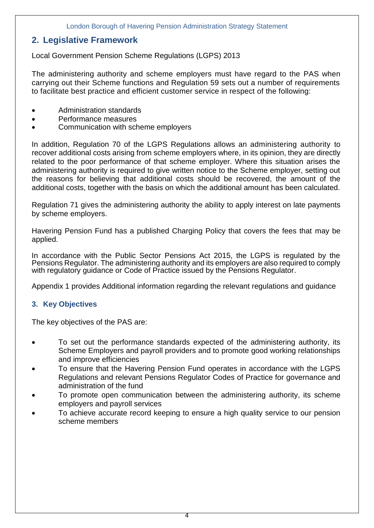## **2. Legislative Framework**

Local Government Pension Scheme Regulations (LGPS) 2013

The administering authority and scheme employers must have regard to the PAS when carrying out their Scheme functions and Regulation 59 sets out a number of requirements to facilitate best practice and efficient customer service in respect of the following:

- Administration standards
- Performance measures
- Communication with scheme employers

In addition, Regulation 70 of the LGPS Regulations allows an administering authority to recover additional costs arising from scheme employers where, in its opinion, they are directly related to the poor performance of that scheme employer. Where this situation arises the administering authority is required to give written notice to the Scheme employer, setting out the reasons for believing that additional costs should be recovered, the amount of the additional costs, together with the basis on which the additional amount has been calculated.

Regulation 71 gives the administering authority the ability to apply interest on late payments by scheme employers.

Havering Pension Fund has a published Charging Policy that covers the fees that may be applied.

In accordance with the Public Sector Pensions Act 2015, the LGPS is regulated by the Pensions Regulator. The administering authority and its employers are also required to comply with regulatory guidance or Code of Practice issued by the Pensions Regulator.

Appendix 1 provides Additional information regarding the relevant regulations and guidance

## **3. Key Objectives**

The key objectives of the PAS are:

- To set out the performance standards expected of the administering authority, its Scheme Employers and payroll providers and to promote good working relationships and improve efficiencies
- To ensure that the Havering Pension Fund operates in accordance with the LGPS Regulations and relevant Pensions Regulator Codes of Practice for governance and administration of the fund
- To promote open communication between the administering authority, its scheme employers and payroll services
- To achieve accurate record keeping to ensure a high quality service to our pension scheme members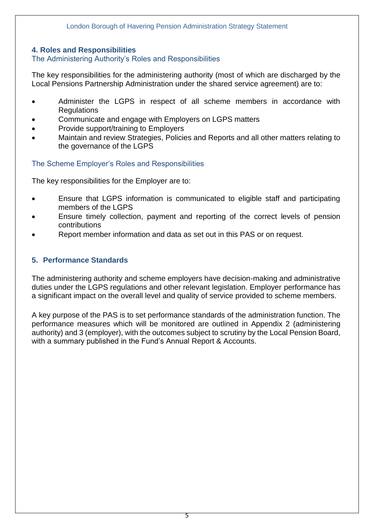## **4. Roles and Responsibilities**

#### The Administering Authority's Roles and Responsibilities

The key responsibilities for the administering authority (most of which are discharged by the Local Pensions Partnership Administration under the shared service agreement) are to:

- Administer the LGPS in respect of all scheme members in accordance with Regulations
- Communicate and engage with Employers on LGPS matters
- Provide support/training to Employers
- Maintain and review Strategies, Policies and Reports and all other matters relating to the governance of the LGPS

The Scheme Employer's Roles and Responsibilities

The key responsibilities for the Employer are to:

- Ensure that LGPS information is communicated to eligible staff and participating members of the LGPS
- Ensure timely collection, payment and reporting of the correct levels of pension contributions
- Report member information and data as set out in this PAS or on request.

### **5. Performance Standards**

The administering authority and scheme employers have decision-making and administrative duties under the LGPS regulations and other relevant legislation. Employer performance has a significant impact on the overall level and quality of service provided to scheme members.

A key purpose of the PAS is to set performance standards of the administration function. The performance measures which will be monitored are outlined in Appendix 2 (administering authority) and 3 (employer), with the outcomes subject to scrutiny by the Local Pension Board, with a summary published in the Fund's Annual Report & Accounts.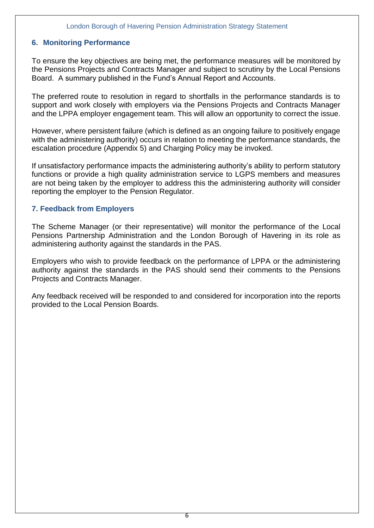## **6. Monitoring Performance**

To ensure the key objectives are being met, the performance measures will be monitored by the Pensions Projects and Contracts Manager and subject to scrutiny by the Local Pensions Board. A summary published in the Fund's Annual Report and Accounts.

The preferred route to resolution in regard to shortfalls in the performance standards is to support and work closely with employers via the Pensions Projects and Contracts Manager and the LPPA employer engagement team. This will allow an opportunity to correct the issue.

However, where persistent failure (which is defined as an ongoing failure to positively engage with the administering authority) occurs in relation to meeting the performance standards, the escalation procedure (Appendix 5) and Charging Policy may be invoked.

If unsatisfactory performance impacts the administering authority's ability to perform statutory functions or provide a high quality administration service to LGPS members and measures are not being taken by the employer to address this the administering authority will consider reporting the employer to the Pension Regulator.

## **7. Feedback from Employers**

The Scheme Manager (or their representative) will monitor the performance of the Local Pensions Partnership Administration and the London Borough of Havering in its role as administering authority against the standards in the PAS.

Employers who wish to provide feedback on the performance of LPPA or the administering authority against the standards in the PAS should send their comments to the Pensions Projects and Contracts Manager.

Any feedback received will be responded to and considered for incorporation into the reports provided to the Local Pension Boards.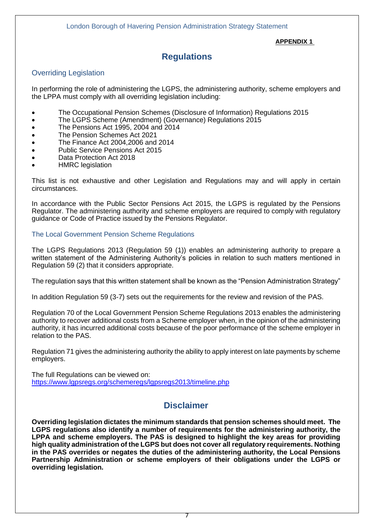#### **APPENDIX 1**

# **Regulations**

### Overriding Legislation

In performing the role of administering the LGPS, the administering authority, scheme employers and the LPPA must comply with all overriding legislation including:

- The Occupational Pension Schemes (Disclosure of Information) Regulations 2015
- The LGPS Scheme (Amendment) (Governance) Regulations 2015
- The Pensions Act 1995, 2004 and 2014
- The Pension Schemes Act 2021
- The Finance Act 2004,2006 and 2014
- Public Service Pensions Act 2015
- Data Protection Act 2018
- HMRC legislation

This list is not exhaustive and other Legislation and Regulations may and will apply in certain circumstances.

In accordance with the Public Sector Pensions Act 2015, the LGPS is regulated by the Pensions Regulator. The administering authority and scheme employers are required to comply with regulatory guidance or Code of Practice issued by the Pensions Regulator.

#### The Local Government Pension Scheme Regulations

The LGPS Regulations 2013 (Regulation 59 (1)) enables an administering authority to prepare a written statement of the Administering Authority's policies in relation to such matters mentioned in Regulation 59 (2) that it considers appropriate.

The regulation says that this written statement shall be known as the "Pension Administration Strategy"

In addition Regulation 59 (3-7) sets out the requirements for the review and revision of the PAS.

Regulation 70 of the Local Government Pension Scheme Regulations 2013 enables the administering authority to recover additional costs from a Scheme employer when, in the opinion of the administering authority, it has incurred additional costs because of the poor performance of the scheme employer in relation to the PAS.

Regulation 71 gives the administering authority the ability to apply interest on late payments by scheme employers.

The full Regulations can be viewed on: <https://www.lgpsregs.org/schemeregs/lgpsregs2013/timeline.php>

## **Disclaimer**

**Overriding legislation dictates the minimum standards that pension schemes should meet. The LGPS regulations also identify a number of requirements for the administering authority, the LPPA and scheme employers. The PAS is designed to highlight the key areas for providing high quality administration of the LGPS but does not cover all regulatory requirements. Nothing in the PAS overrides or negates the duties of the administering authority, the Local Pensions Partnership Administration or scheme employers of their obligations under the LGPS or overriding legislation.**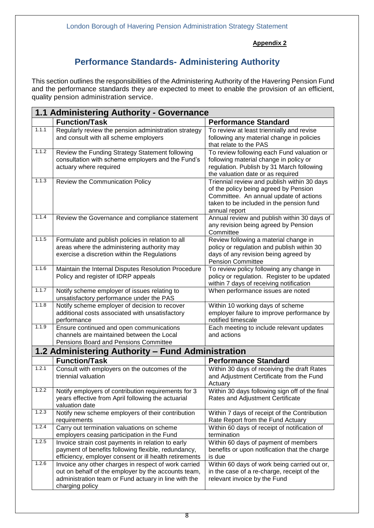# **Performance Standards- Administering Authority**

This section outlines the responsibilities of the Administering Authority of the Havering Pension Fund and the performance standards they are expected to meet to enable the provision of an efficient, quality pension administration service.

|       | 1.1 Administering Authority - Governance                                                                                                                                               |                                                                                                                                                                                             |  |  |
|-------|----------------------------------------------------------------------------------------------------------------------------------------------------------------------------------------|---------------------------------------------------------------------------------------------------------------------------------------------------------------------------------------------|--|--|
|       | <b>Function/Task</b>                                                                                                                                                                   | <b>Performance Standard</b>                                                                                                                                                                 |  |  |
| 1.1.1 | Regularly review the pension administration strategy<br>and consult with all scheme employers                                                                                          | To review at least triennially and revise<br>following any material change in policies<br>that relate to the PAS                                                                            |  |  |
| 1.1.2 | Review the Funding Strategy Statement following<br>consultation with scheme employers and the Fund's<br>actuary where required                                                         | To review following each Fund valuation or<br>following material change in policy or<br>regulation. Publish by 31 March following<br>the valuation date or as required                      |  |  |
| 1.1.3 | Review the Communication Policy                                                                                                                                                        | Triennial review and publish within 30 days<br>of the policy being agreed by Pension<br>Committee. An annual update of actions<br>taken to be included in the pension fund<br>annual report |  |  |
| 1.1.4 | Review the Governance and compliance statement                                                                                                                                         | Annual review and publish within 30 days of<br>any revision being agreed by Pension<br>Committee                                                                                            |  |  |
| 1.1.5 | Formulate and publish policies in relation to all<br>areas where the administering authority may<br>exercise a discretion within the Regulations                                       | Review following a material change in<br>policy or regulation and publish within 30<br>days of any revision being agreed by<br><b>Pension Committee</b>                                     |  |  |
| 1.1.6 | Maintain the Internal Disputes Resolution Procedure<br>Policy and register of IDRP appeals                                                                                             | To review policy following any change in<br>policy or regulation. Register to be updated<br>within 7 days of receiving notification                                                         |  |  |
| 1.1.7 | Notify scheme employer of issues relating to<br>unsatisfactory performance under the PAS                                                                                               | When performance issues are noted                                                                                                                                                           |  |  |
| 1.1.8 | Notify scheme employer of decision to recover<br>additional costs associated with unsatisfactory<br>performance                                                                        | Within 10 working days of scheme<br>employer failure to improve performance by<br>notified timescale                                                                                        |  |  |
| 1.1.9 | Ensure continued and open communications<br>channels are maintained between the Local<br>Pensions Board and Pensions Committee                                                         | Each meeting to include relevant updates<br>and actions                                                                                                                                     |  |  |
|       | 1.2 Administering Authority - Fund Administration                                                                                                                                      |                                                                                                                                                                                             |  |  |
|       | <b>Function/Task</b>                                                                                                                                                                   | <b>Performance Standard</b>                                                                                                                                                                 |  |  |
| 1.2.1 | Consult with employers on the outcomes of the<br>triennial valuation                                                                                                                   | Within 30 days of receiving the draft Rates<br>and Adjustment Certificate from the Fund<br>Actuary                                                                                          |  |  |
| 1.2.2 | Notify employers of contribution requirements for 3<br>years effective from April following the actuarial<br>valuation date                                                            | Within 30 days following sign off of the final<br>Rates and Adjustment Certificate                                                                                                          |  |  |
| 1.2.3 | Notify new scheme employers of their contribution<br>requirements                                                                                                                      | Within 7 days of receipt of the Contribution<br>Rate Report from the Fund Actuary                                                                                                           |  |  |
| 1.2.4 | Carry out termination valuations on scheme<br>employers ceasing participation in the Fund                                                                                              | Within 60 days of receipt of notification of<br>termination                                                                                                                                 |  |  |
| 1.2.5 | Invoice strain cost payments in relation to early<br>payment of benefits following flexible, redundancy,<br>efficiency, employer consent or ill health retirements                     | Within 60 days of payment of members<br>benefits or upon notification that the charge<br>is due                                                                                             |  |  |
| 1.2.6 | Invoice any other charges in respect of work carried<br>out on behalf of the employer by the accounts team,<br>administration team or Fund actuary in line with the<br>charging policy | Within 60 days of work being carried out or,<br>in the case of a re-charge, receipt of the<br>relevant invoice by the Fund                                                                  |  |  |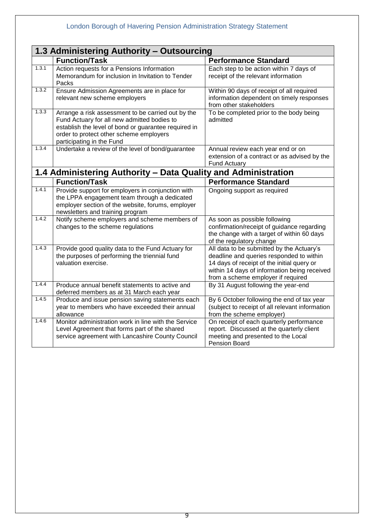| 1.3 Administering Authority - Outsourcing                     |                                                                                                                                                                                                                                   |                                                                                                                                                                                                                           |  |
|---------------------------------------------------------------|-----------------------------------------------------------------------------------------------------------------------------------------------------------------------------------------------------------------------------------|---------------------------------------------------------------------------------------------------------------------------------------------------------------------------------------------------------------------------|--|
|                                                               | <b>Function/Task</b>                                                                                                                                                                                                              | <b>Performance Standard</b>                                                                                                                                                                                               |  |
| 1.3.1                                                         | Action requests for a Pensions Information<br>Memorandum for inclusion in Invitation to Tender<br>Packs                                                                                                                           | Each step to be action within 7 days of<br>receipt of the relevant information                                                                                                                                            |  |
| 1.3.2                                                         | Ensure Admission Agreements are in place for<br>relevant new scheme employers                                                                                                                                                     | Within 90 days of receipt of all required<br>information dependent on timely responses<br>from other stakeholders                                                                                                         |  |
| 1.3.3                                                         | Arrange a risk assessment to be carried out by the<br>Fund Actuary for all new admitted bodies to<br>establish the level of bond or guarantee required in<br>order to protect other scheme employers<br>participating in the Fund | To be completed prior to the body being<br>admitted                                                                                                                                                                       |  |
| 1.3.4                                                         | Undertake a review of the level of bond/guarantee                                                                                                                                                                                 | Annual review each year end or on<br>extension of a contract or as advised by the<br><b>Fund Actuary</b>                                                                                                                  |  |
| 1.4 Administering Authority - Data Quality and Administration |                                                                                                                                                                                                                                   |                                                                                                                                                                                                                           |  |
|                                                               | <b>Function/Task</b>                                                                                                                                                                                                              | <b>Performance Standard</b>                                                                                                                                                                                               |  |
| 1.4.1                                                         | Provide support for employers in conjunction with<br>the LPPA engagement team through a dedicated<br>employer section of the website, forums, employer<br>newsletters and training program                                        | Ongoing support as required                                                                                                                                                                                               |  |
| 1.4.2                                                         | Notify scheme employers and scheme members of<br>changes to the scheme regulations                                                                                                                                                | As soon as possible following<br>confirmation/receipt of guidance regarding<br>the change with a target of within 60 days<br>of the regulatory change                                                                     |  |
| 1.4.3                                                         | Provide good quality data to the Fund Actuary for<br>the purposes of performing the triennial fund<br>valuation exercise.                                                                                                         | All data to be submitted by the Actuary's<br>deadline and queries responded to within<br>14 days of receipt of the initial query or<br>within 14 days of information being received<br>from a scheme employer if required |  |
| 1.4.4                                                         | Produce annual benefit statements to active and<br>deferred members as at 31 March each year                                                                                                                                      | By 31 August following the year-end                                                                                                                                                                                       |  |
| 1.4.5                                                         | Produce and issue pension saving statements each<br>year to members who have exceeded their annual<br>allowance                                                                                                                   | By 6 October following the end of tax year<br>(subject to receipt of all relevant information<br>from the scheme employer)                                                                                                |  |
| 1.4.6                                                         | Monitor administration work in line with the Service<br>Level Agreement that forms part of the shared<br>service agreement with Lancashire County Council                                                                         | On receipt of each quarterly performance<br>report. Discussed at the quarterly client<br>meeting and presented to the Local<br>Pension Board                                                                              |  |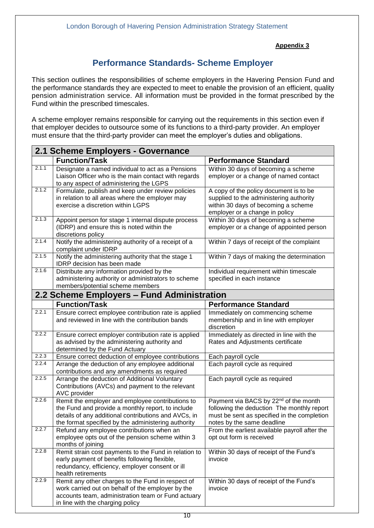# **Performance Standards- Scheme Employer**

This section outlines the responsibilities of scheme employers in the Havering Pension Fund and the performance standards they are expected to meet to enable the provision of an efficient, quality pension administration service. All information must be provided in the format prescribed by the Fund within the prescribed timescales.

A scheme employer remains responsible for carrying out the requirements in this section even if that employer decides to outsource some of its functions to a third-party provider. An employer must ensure that the third-party provider can meet the employer's duties and obligations.

|                | 2.1 Scheme Employers - Governance                                                                     |                                                                                                 |  |  |
|----------------|-------------------------------------------------------------------------------------------------------|-------------------------------------------------------------------------------------------------|--|--|
|                | <b>Function/Task</b>                                                                                  | <b>Performance Standard</b>                                                                     |  |  |
| 2.1.1          | Designate a named individual to act as a Pensions                                                     | Within 30 days of becoming a scheme                                                             |  |  |
|                | Liaison Officer who is the main contact with regards                                                  | employer or a change of named contact                                                           |  |  |
|                | to any aspect of administering the LGPS                                                               |                                                                                                 |  |  |
| 2.1.2          | Formulate, publish and keep under review policies                                                     | A copy of the policy document is to be                                                          |  |  |
|                | in relation to all areas where the employer may<br>exercise a discretion within LGPS                  | supplied to the administering authority                                                         |  |  |
|                |                                                                                                       | within 30 days of becoming a scheme<br>employer or a change in policy                           |  |  |
| 2.1.3          | Appoint person for stage 1 internal dispute process                                                   | Within 30 days of becoming a scheme                                                             |  |  |
|                | (IDRP) and ensure this is noted within the                                                            | employer or a change of appointed person                                                        |  |  |
|                | discretions policy                                                                                    |                                                                                                 |  |  |
| 2.1.4          | Notify the administering authority of a receipt of a                                                  | Within 7 days of receipt of the complaint                                                       |  |  |
|                | complaint under IDRP                                                                                  |                                                                                                 |  |  |
| 2.1.5          | Notify the administering authority that the stage 1                                                   | Within 7 days of making the determination                                                       |  |  |
| 2.1.6          | IDRP decision has been made                                                                           |                                                                                                 |  |  |
|                | Distribute any information provided by the<br>administering authority or administrators to scheme     | Individual requirement within timescale<br>specified in each instance                           |  |  |
|                | members/potential scheme members                                                                      |                                                                                                 |  |  |
|                | 2.2 Scheme Employers – Fund Administration                                                            |                                                                                                 |  |  |
|                | <b>Function/Task</b>                                                                                  | <b>Performance Standard</b>                                                                     |  |  |
| 2.2.1          | Ensure correct employee contribution rate is applied                                                  | Immediately on commencing scheme                                                                |  |  |
|                | and reviewed in line with the contribution bands                                                      | membership and in line with employer                                                            |  |  |
|                |                                                                                                       | discretion                                                                                      |  |  |
| 2.2.2          | Ensure correct employer contribution rate is applied                                                  | Immediately as directed in line with the                                                        |  |  |
|                | as advised by the administering authority and                                                         | Rates and Adjustments certificate                                                               |  |  |
|                | determined by the Fund Actuary                                                                        |                                                                                                 |  |  |
| 2.2.3<br>2.2.4 | Ensure correct deduction of employee contributions                                                    | Each payroll cycle                                                                              |  |  |
|                | Arrange the deduction of any employee additional<br>contributions and any amendments as required      | Each payroll cycle as required                                                                  |  |  |
| 2.2.5          | Arrange the deduction of Additional Voluntary                                                         | Each payroll cycle as required                                                                  |  |  |
|                | Contributions (AVCs) and payment to the relevant                                                      |                                                                                                 |  |  |
| 2.2.6          | AVC provider                                                                                          |                                                                                                 |  |  |
|                | Remit the employer and employee contributions to<br>the Fund and provide a monthly report, to include | Payment via BACS by 22 <sup>nd</sup> of the month<br>following the deduction The monthly report |  |  |
|                | details of any additional contributions and AVCs, in                                                  | must be sent as specified in the completion                                                     |  |  |
|                | the format specified by the administering authority                                                   | notes by the same deadline                                                                      |  |  |
| 2.2.7          | Refund any employee contributions when an                                                             | From the earliest available payroll after the                                                   |  |  |
|                | employee opts out of the pension scheme within 3                                                      | opt out form is received                                                                        |  |  |
|                | months of joining                                                                                     |                                                                                                 |  |  |
| 2.2.8          | Remit strain cost payments to the Fund in relation to                                                 | Within 30 days of receipt of the Fund's                                                         |  |  |
|                | early payment of benefits following flexible,                                                         | invoice                                                                                         |  |  |
|                | redundancy, efficiency, employer consent or ill                                                       |                                                                                                 |  |  |
|                | health retirements                                                                                    |                                                                                                 |  |  |
| 2.2.9          | Remit any other charges to the Fund in respect of                                                     | Within 30 days of receipt of the Fund's<br>invoice                                              |  |  |
|                |                                                                                                       |                                                                                                 |  |  |
|                | work carried out on behalf of the employer by the                                                     |                                                                                                 |  |  |
|                | accounts team, administration team or Fund actuary<br>in line with the charging policy                |                                                                                                 |  |  |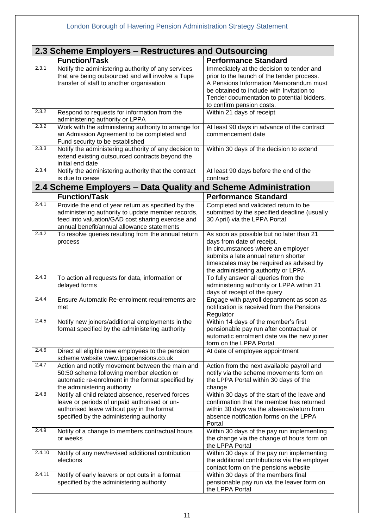|        | 2.3 Scheme Employers – Restructures and Outsourcing                                                                                                                                                        |                                                                                                                                                                                                                                                           |  |  |
|--------|------------------------------------------------------------------------------------------------------------------------------------------------------------------------------------------------------------|-----------------------------------------------------------------------------------------------------------------------------------------------------------------------------------------------------------------------------------------------------------|--|--|
|        | <b>Function/Task</b>                                                                                                                                                                                       | <b>Performance Standard</b>                                                                                                                                                                                                                               |  |  |
| 2.3.1  | Notify the administering authority of any services<br>that are being outsourced and will involve a Tupe<br>transfer of staff to another organisation                                                       | Immediately at the decision to tender and<br>prior to the launch of the tender process.<br>A Pensions Information Memorandum must<br>be obtained to include with Invitation to<br>Tender documentation to potential bidders,<br>to confirm pension costs. |  |  |
| 2.3.2  | Respond to requests for information from the<br>administering authority or LPPA                                                                                                                            | Within 21 days of receipt                                                                                                                                                                                                                                 |  |  |
| 2.3.2  | Work with the administering authority to arrange for<br>an Admission Agreement to be completed and<br>Fund security to be established                                                                      | At least 90 days in advance of the contract<br>commencement date                                                                                                                                                                                          |  |  |
| 2.3.3  | Notify the administering authority of any decision to<br>extend existing outsourced contracts beyond the<br>initial end date                                                                               | Within 30 days of the decision to extend                                                                                                                                                                                                                  |  |  |
| 2.3.4  | Notify the administering authority that the contract<br>is due to cease                                                                                                                                    | At least 90 days before the end of the<br>contract                                                                                                                                                                                                        |  |  |
|        | 2.4 Scheme Employers - Data Quality and Scheme Administration                                                                                                                                              |                                                                                                                                                                                                                                                           |  |  |
|        | <b>Function/Task</b>                                                                                                                                                                                       | <b>Performance Standard</b>                                                                                                                                                                                                                               |  |  |
| 2.4.1  | Provide the end of year return as specified by the<br>administering authority to update member records,<br>feed into valuation/GAD cost sharing exercise and<br>annual benefit/annual allowance statements | Completed and validated return to be<br>submitted by the specified deadline (usually<br>30 April) via the LPPA Portal                                                                                                                                     |  |  |
| 2.4.2  | To resolve queries resulting from the annual return<br>process                                                                                                                                             | As soon as possible but no later than 21<br>days from date of receipt.<br>In circumstances where an employer<br>submits a late annual return shorter<br>timescales may be required as advised by<br>the administering authority or LPPA.                  |  |  |
| 2.4.3  | To action all requests for data, information or<br>delayed forms                                                                                                                                           | To fully answer all queries from the<br>administering authority or LPPA within 21<br>days of receipt of the query                                                                                                                                         |  |  |
| 2.4.4  | Ensure Automatic Re-enrolment requirements are<br>met                                                                                                                                                      | Engage with payroll department as soon as<br>notification is received from the Pensions<br>Regulator                                                                                                                                                      |  |  |
| 2.4.5  | Notify new joiners/additional employments in the<br>format specified by the administering authority                                                                                                        | Within 14 days of the member's first<br>pensionable pay run after contractual or<br>automatic enrolment date via the new joiner<br>form on the LPPA Portal.                                                                                               |  |  |
| 2.4.6  | Direct all eligible new employees to the pension<br>scheme website www.lppapensions.co.uk                                                                                                                  | At date of employee appointment                                                                                                                                                                                                                           |  |  |
| 2.4.7  | Action and notify movement between the main and<br>50:50 scheme following member election or<br>automatic re-enrolment in the format specified by<br>the administering authority                           | Action from the next available payroll and<br>notify via the scheme movements form on<br>the LPPA Portal within 30 days of the<br>change                                                                                                                  |  |  |
| 2.4.8  | Notify all child related absence, reserved forces<br>leave or periods of unpaid authorised or un-<br>authorised leave without pay in the format<br>specified by the administering authority                | Within 30 days of the start of the leave and<br>confirmation that the member has returned<br>within 30 days via the absence/return from<br>absence notification forms on the LPPA<br>Portal                                                               |  |  |
| 2.4.9  | Notify of a change to members contractual hours<br>or weeks                                                                                                                                                | Within 30 days of the pay run implementing<br>the change via the change of hours form on<br>the LPPA Portal                                                                                                                                               |  |  |
| 2.4.10 | Notify of any new/revised additional contribution<br>elections                                                                                                                                             | Within 30 days of the pay run implementing<br>the additional contributions via the employer<br>contact form on the pensions website                                                                                                                       |  |  |
| 2.4.11 | Notify of early leavers or opt outs in a format<br>specified by the administering authority                                                                                                                | Within 30 days of the members final<br>pensionable pay run via the leaver form on<br>the LPPA Portal                                                                                                                                                      |  |  |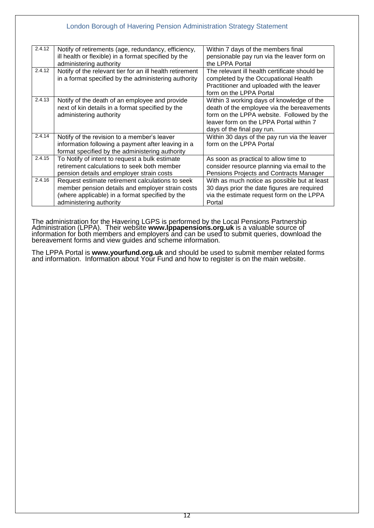#### London Borough of Havering Pension Administration Strategy Statement

| 2.4.12 | Notify of retirements (age, redundancy, efficiency,<br>ill health or flexible) in a format specified by the<br>administering authority                                             | Within 7 days of the members final<br>pensionable pay run via the leaver form on<br>the LPPA Portal                                                                                                           |
|--------|------------------------------------------------------------------------------------------------------------------------------------------------------------------------------------|---------------------------------------------------------------------------------------------------------------------------------------------------------------------------------------------------------------|
| 2.4.12 | Notify of the relevant tier for an ill health retirement<br>in a format specified by the administering authority                                                                   | The relevant ill health certificate should be<br>completed by the Occupational Health<br>Practitioner and uploaded with the leaver<br>form on the LPPA Portal                                                 |
| 2.4.13 | Notify of the death of an employee and provide<br>next of kin details in a format specified by the<br>administering authority                                                      | Within 3 working days of knowledge of the<br>death of the employee via the bereavements<br>form on the LPPA website. Followed by the<br>leaver form on the LPPA Portal within 7<br>days of the final pay run. |
| 2.4.14 | Notify of the revision to a member's leaver<br>information following a payment after leaving in a<br>format specified by the administering authority                               | Within 30 days of the pay run via the leaver<br>form on the LPPA Portal                                                                                                                                       |
| 2.4.15 | To Notify of intent to request a bulk estimate<br>retirement calculations to seek both member<br>pension details and employer strain costs                                         | As soon as practical to allow time to<br>consider resource planning via email to the<br>Pensions Projects and Contracts Manager                                                                               |
| 2.4.16 | Request estimate retirement calculations to seek<br>member pension details and employer strain costs<br>(where applicable) in a format specified by the<br>administering authority | With as much notice as possible but at least<br>30 days prior the date figures are required<br>via the estimate request form on the LPPA<br>Portal                                                            |

The administration for the Havering LGPS is performed by the Local Pensions Partnership Administration (LPPA). Their website **[www.lppapensions.org.uk](http://www.lppapensions.org.uk/)** is a valuable source of information for both members and employers and can be used to submit queries, download the bereavement forms and view guides and scheme information.

The LPPA Portal is **[www.yourfund.org.uk](http://www.yourfund.org.uk/)** and should be used to submit member related forms and information. Information about Your Fund and how to register is on the main website.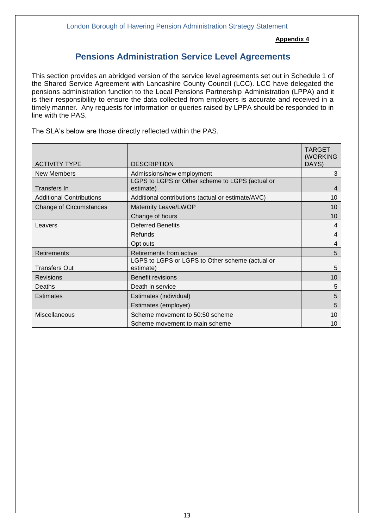# **Pensions Administration Service Level Agreements**

This section provides an abridged version of the service level agreements set out in Schedule 1 of the Shared Service Agreement with Lancashire County Council (LCC). LCC have delegated the pensions administration function to the Local Pensions Partnership Administration (LPPA) and it is their responsibility to ensure the data collected from employers is accurate and received in a timely manner. Any requests for information or queries raised by LPPA should be responded to in line with the PAS.

| The SLA's below are those directly reflected within the PAS. |  |
|--------------------------------------------------------------|--|
|--------------------------------------------------------------|--|

| <b>ACTIVITY TYPE</b>            | <b>DESCRIPTION</b>                                                           | <b>TARGET</b><br>(WORKING<br>DAYS) |
|---------------------------------|------------------------------------------------------------------------------|------------------------------------|
| New Members                     |                                                                              | 3                                  |
|                                 | Admissions/new employment<br>LGPS to LGPS or Other scheme to LGPS (actual or |                                    |
| Transfers In                    | estimate)                                                                    | 4                                  |
| <b>Additional Contributions</b> | Additional contributions (actual or estimate/AVC)                            | 10                                 |
| <b>Change of Circumstances</b>  | Maternity Leave/LWOP                                                         | 10                                 |
|                                 | Change of hours                                                              | 10 <sup>°</sup>                    |
| Leavers                         | <b>Deferred Benefits</b>                                                     | 4                                  |
|                                 | Refunds                                                                      | 4                                  |
|                                 | Opt outs                                                                     | 4                                  |
| <b>Retirements</b>              | Retirements from active                                                      | 5                                  |
| <b>Transfers Out</b>            | LGPS to LGPS or LGPS to Other scheme (actual or<br>estimate)                 | 5                                  |
|                                 |                                                                              |                                    |
| <b>Revisions</b>                | <b>Benefit revisions</b>                                                     | 10 <sup>°</sup>                    |
| Deaths                          | Death in service                                                             | 5                                  |
| Estimates                       | Estimates (individual)                                                       | 5                                  |
|                                 | Estimates (employer)                                                         | 5                                  |
| <b>Miscellaneous</b>            | Scheme movement to 50:50 scheme                                              | 10                                 |
|                                 | Scheme movement to main scheme                                               | 10                                 |